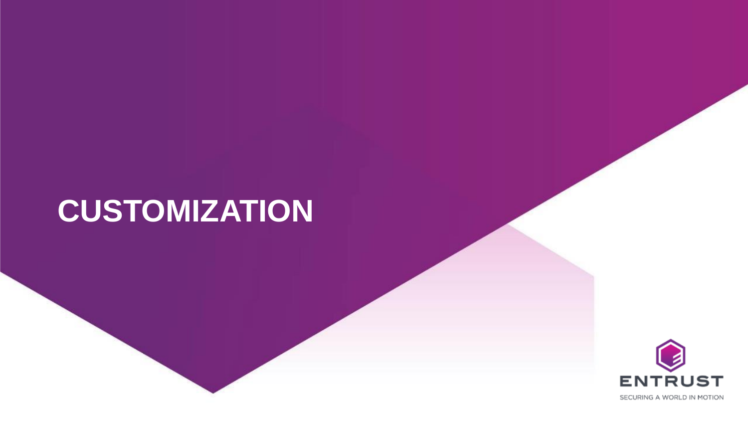# **CUSTOMIZATION**

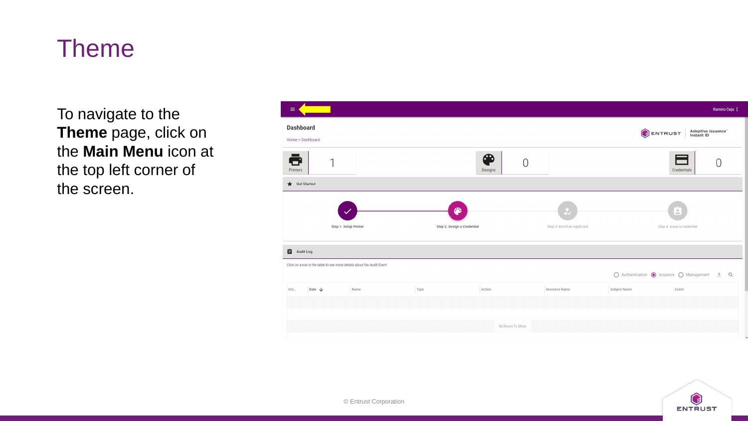To navigate to the **Theme** page, click on the **Main Menu** icon at the top left corner of the screen.

| $\equiv$                                                              |                             |                                |                             |              |                                             | Ramiro Ceja :                          |
|-----------------------------------------------------------------------|-----------------------------|--------------------------------|-----------------------------|--------------|---------------------------------------------|----------------------------------------|
| <b>Dashboard</b><br>Home > Dashboard                                  |                             |                                |                             |              | Adaptive Issuance"<br>Instant ID<br>ENTRUST |                                        |
| ē<br>$\mathbf{1}$<br>Printers                                         |                             | ௸<br>$\overline{0}$<br>Designs |                             |              | Credentials                                 | O                                      |
| Get Started                                                           |                             |                                |                             |              |                                             |                                        |
|                                                                       | ⊕                           |                                | ₹                           |              | $\mathop{\circ}\limits^{\circ}$             |                                        |
| Step 1. Setup Printer                                                 | Step 2. Design a Credential |                                | Step 3. Enroll an Applicant |              | Step 4. Issue a Credential                  |                                        |
| Audit Log                                                             |                             |                                |                             |              |                                             |                                        |
| Click on a row in the table to see more details about the Audit Event |                             |                                |                             |              | ○ Authentication ● Issuance ○ Management    | Q<br>$\frac{\mathrm{d} \mathbf{r}}{2}$ |
| Date $\downarrow$<br>Out<br>Name                                      | Type                        | Action                         | Resource Name               | Subject Name | Event                                       |                                        |
|                                                                       |                             |                                |                             |              |                                             |                                        |
|                                                                       |                             | No Rows To Show                |                             |              |                                             |                                        |
|                                                                       |                             |                                |                             |              |                                             |                                        |

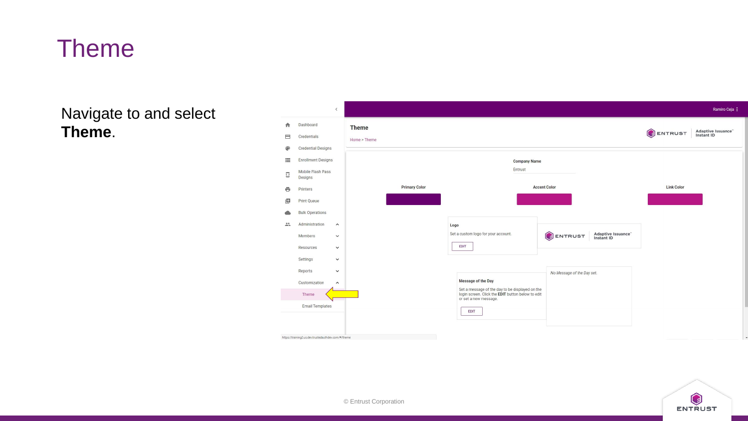Navigate to and select **Theme**.



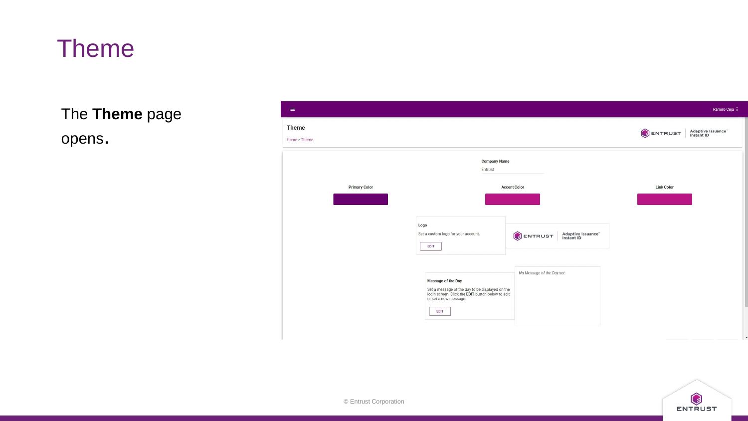The **Theme** page

opens.



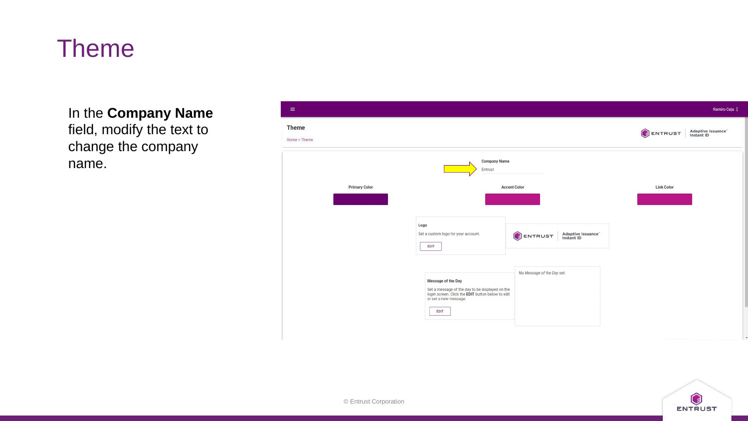In the **Company Name**  field, modify the text to change the company name.



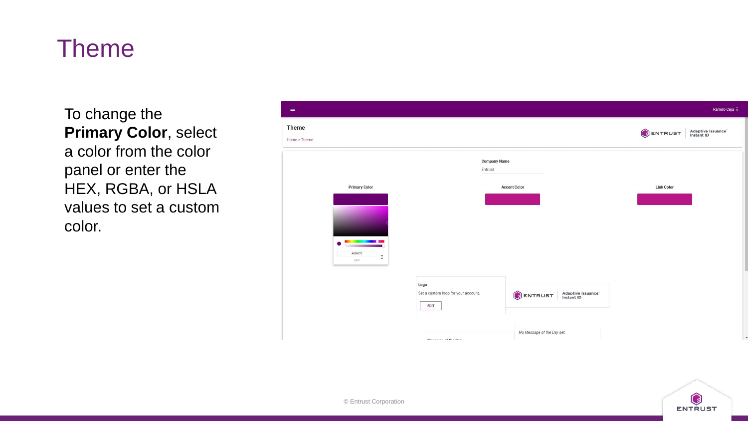To change the **Primary Color**, select a color from the color panel or enter the HEX, RGBA, or HSLA values to set a custom color.



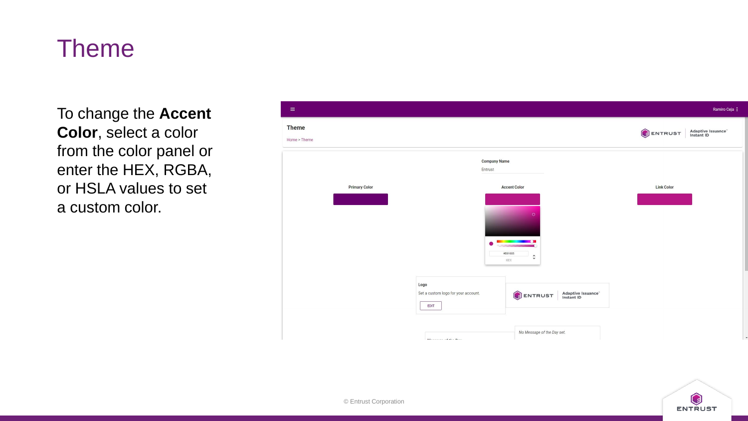To change the **Accent Color**, select a color from the color panel or enter the HEX, RGBA, or HSLA values to set a custom color.



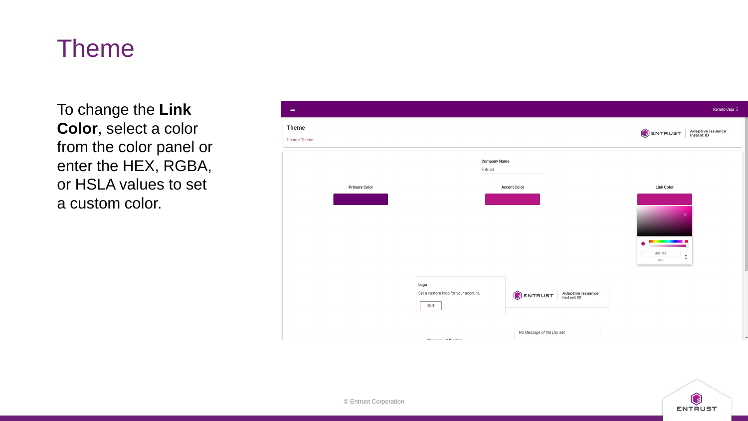To change the **Link Color**, select a color from the color panel or enter the HEX, RGBA, or HSLA values to set a custom color.



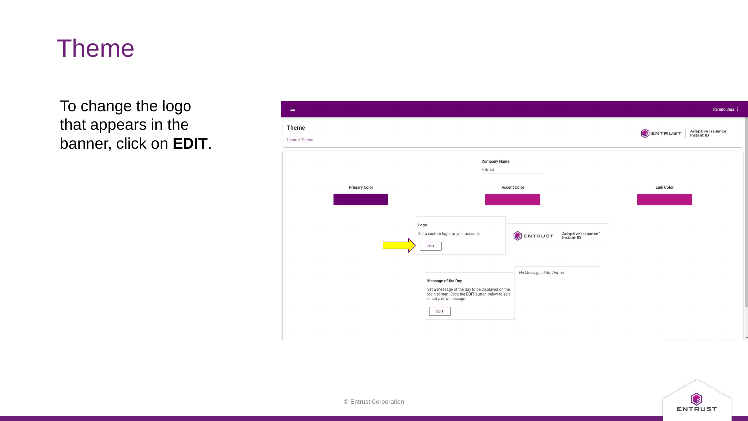To change the logo that appears in the banner, click on **EDIT**.



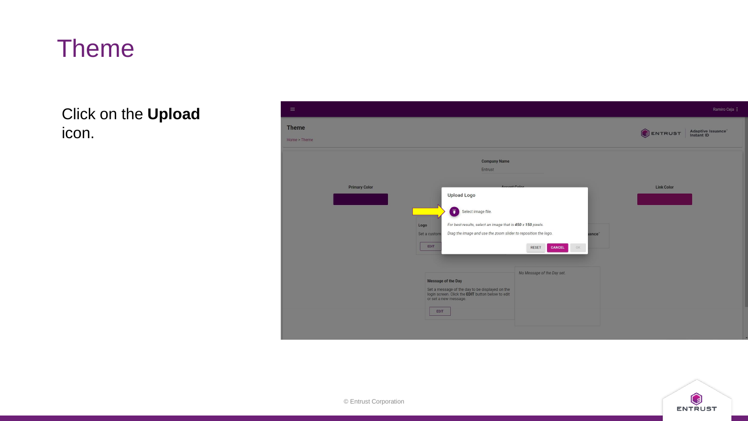Click on the **Upload** icon.



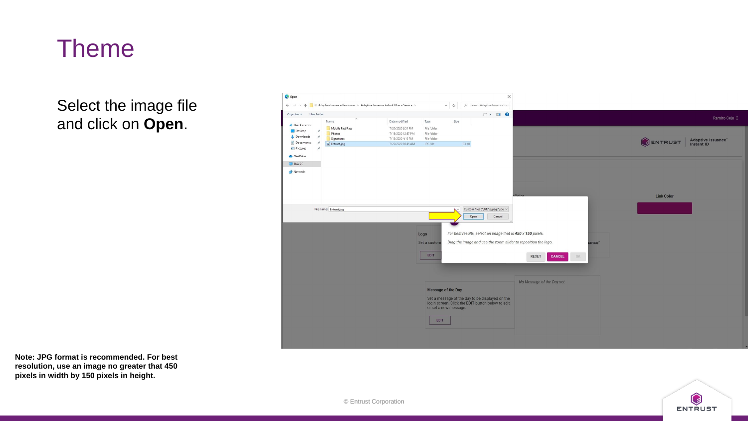Select the image file and click on **Open**.



**Note: JPG format is recommended. For best resolution, use an image no greater that 450 pixels in width by 150 pixels in height.**

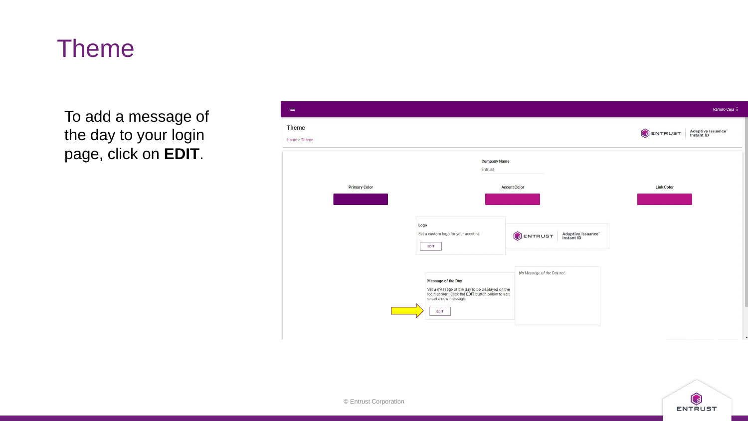To add a message of the day to your login page, click on **EDIT**.



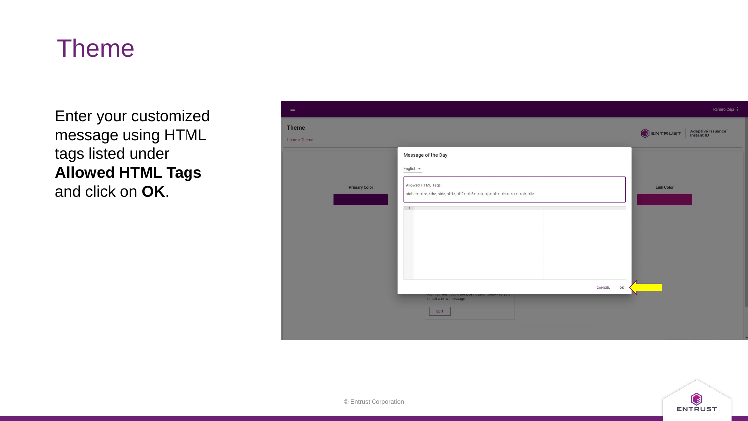Enter your customized message using HTML tags listed under **Allowed HTML Tags** and click on **OK**.



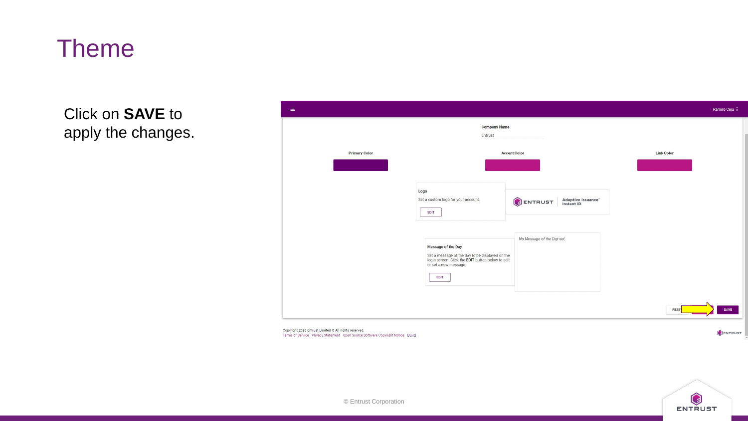Click on **SAVE** to apply the changes.

| $\equiv$                                                                                                                                                                                                                                                                                                                                                                            | Ramiro Ceja : |
|-------------------------------------------------------------------------------------------------------------------------------------------------------------------------------------------------------------------------------------------------------------------------------------------------------------------------------------------------------------------------------------|---------------|
| <b>Company Name</b><br>Entrust                                                                                                                                                                                                                                                                                                                                                      |               |
| <b>Primary Color</b><br><b>Link Color</b><br><b>Accent Color</b><br>Logo<br>Set a custom logo for your account.<br>ENTRUST<br>Adaptive Issuance"<br>Instant ID<br><b>EDIT</b><br>No Message of the Day set.<br>Message of the Day<br>Set a message of the day to be displayed on the<br>login screen. Click the EDIT button below to edit<br>or set a new message.<br>EDIT<br>RESET | SAVE          |

Copyright 2020 Entrust Limited @ All rights reserved. Terms of Service Privacy Statement Open Source Software Copyright Notice Build



ENTRUST